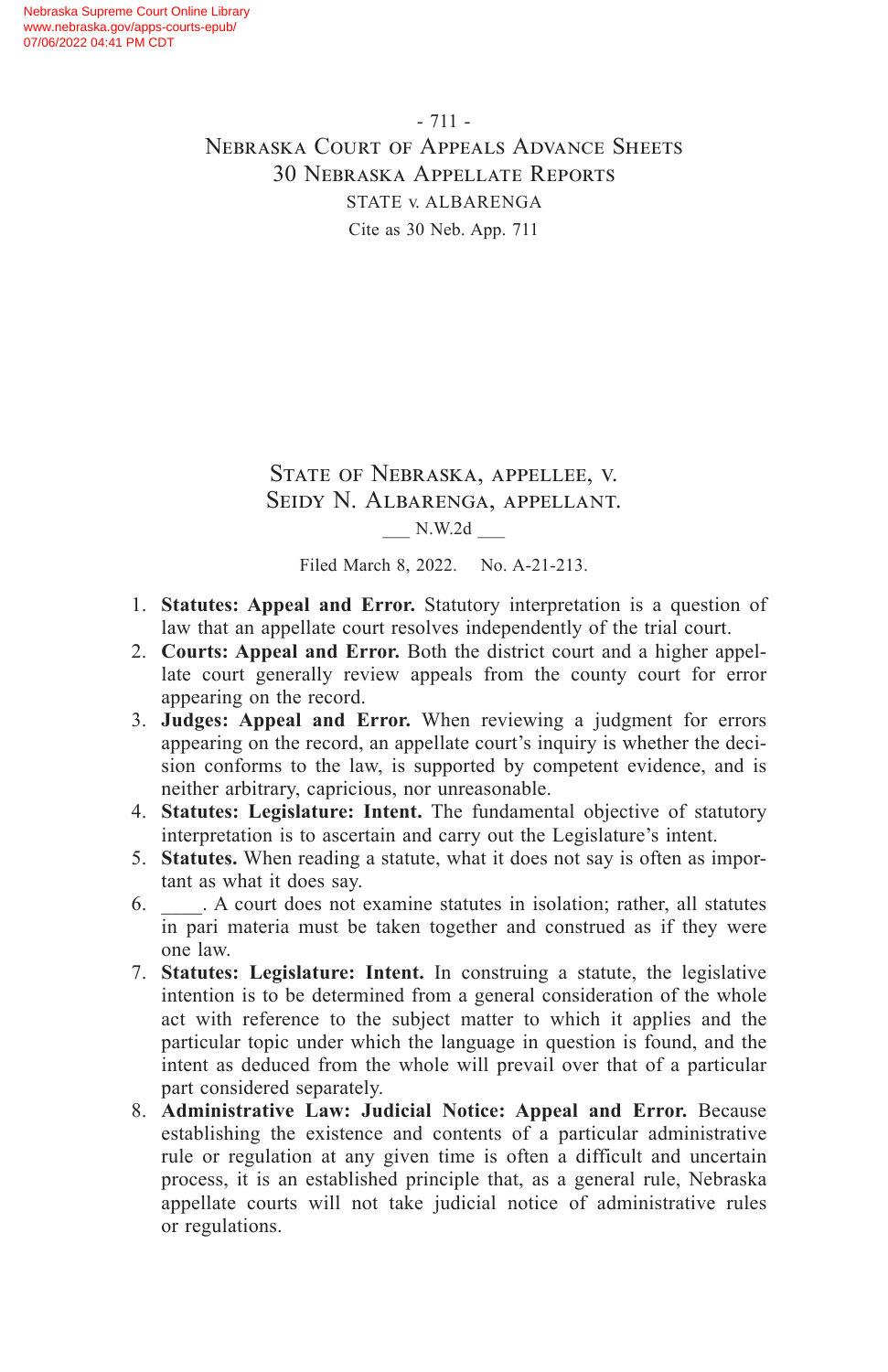#### State of Nebraska, appellee, v. Seidy N. Albarenga, appellant. \_\_\_ N.W.2d \_\_\_

Filed March 8, 2022. No. A-21-213.

- 1. **Statutes: Appeal and Error.** Statutory interpretation is a question of law that an appellate court resolves independently of the trial court.
- 2. **Courts: Appeal and Error.** Both the district court and a higher appellate court generally review appeals from the county court for error appearing on the record.
- 3. **Judges: Appeal and Error.** When reviewing a judgment for errors appearing on the record, an appellate court's inquiry is whether the decision conforms to the law, is supported by competent evidence, and is neither arbitrary, capricious, nor unreasonable.
- 4. **Statutes: Legislature: Intent.** The fundamental objective of statutory interpretation is to ascertain and carry out the Legislature's intent.
- 5. **Statutes.** When reading a statute, what it does not say is often as important as what it does say.
- 6. \_\_\_\_. A court does not examine statutes in isolation; rather, all statutes in pari materia must be taken together and construed as if they were one law.
- 7. **Statutes: Legislature: Intent.** In construing a statute, the legislative intention is to be determined from a general consideration of the whole act with reference to the subject matter to which it applies and the particular topic under which the language in question is found, and the intent as deduced from the whole will prevail over that of a particular part considered separately.
- 8. **Administrative Law: Judicial Notice: Appeal and Error.** Because establishing the existence and contents of a particular administrative rule or regulation at any given time is often a difficult and uncertain process, it is an established principle that, as a general rule, Nebraska appellate courts will not take judicial notice of administrative rules or regulations.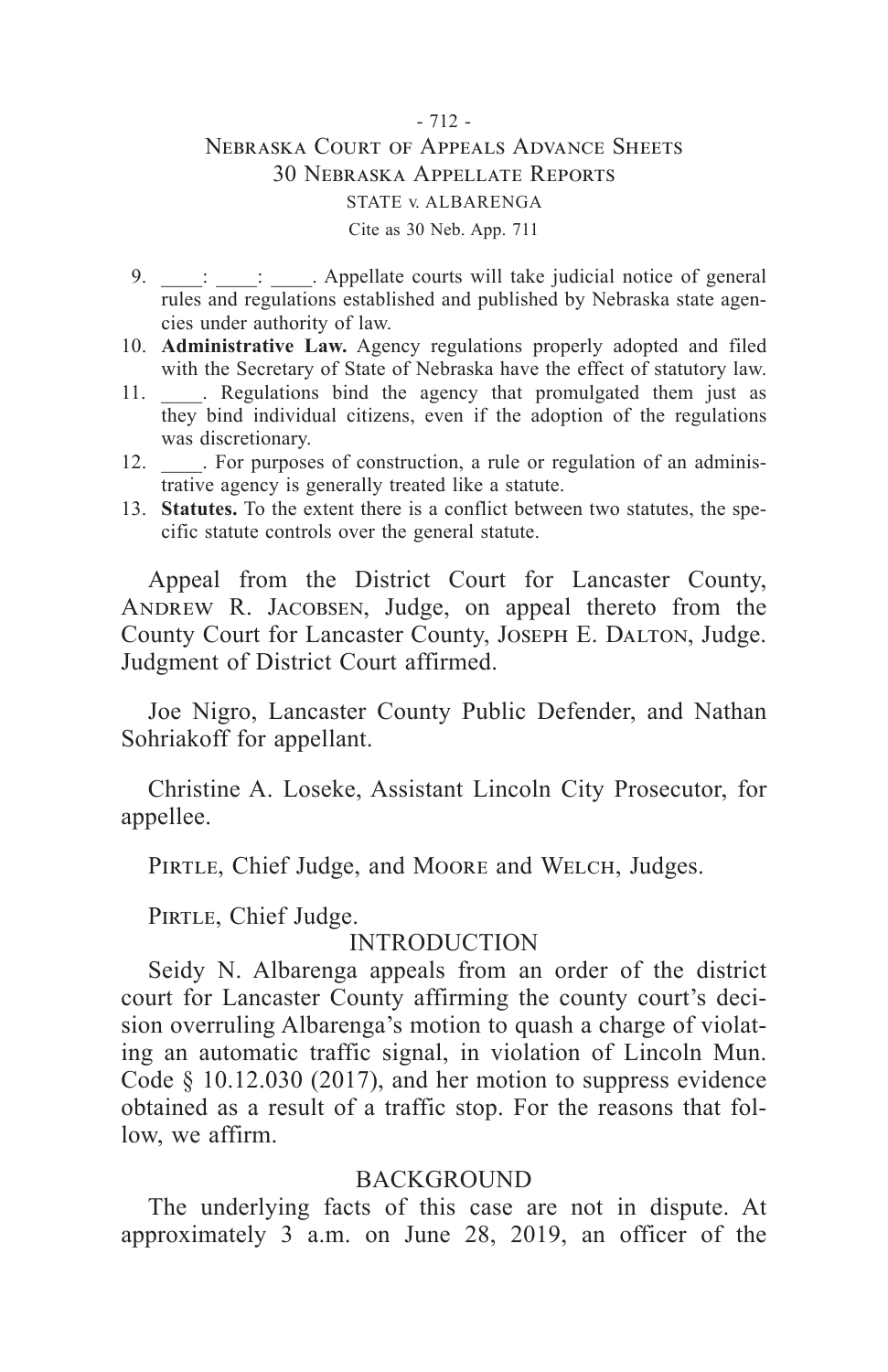- 9.  $\vdots$  : Appellate courts will take judicial notice of general rules and regulations established and published by Nebraska state agencies under authority of law.
- 10. **Administrative Law.** Agency regulations properly adopted and filed with the Secretary of State of Nebraska have the effect of statutory law.
- 11. \_\_\_\_. Regulations bind the agency that promulgated them just as they bind individual citizens, even if the adoption of the regulations was discretionary.
- 12. For purposes of construction, a rule or regulation of an administrative agency is generally treated like a statute.
- 13. **Statutes.** To the extent there is a conflict between two statutes, the specific statute controls over the general statute.

Appeal from the District Court for Lancaster County, ANDREW R. JACOBSEN, Judge, on appeal thereto from the County Court for Lancaster County, JOSEPH E. DALTON, Judge. Judgment of District Court affirmed.

Joe Nigro, Lancaster County Public Defender, and Nathan Sohriakoff for appellant.

Christine A. Loseke, Assistant Lincoln City Prosecutor, for appellee.

PIRTLE, Chief Judge, and MOORE and WELCH, Judges.

PIRTLE, Chief Judge.

### INTRODUCTION

Seidy N. Albarenga appeals from an order of the district court for Lancaster County affirming the county court's decision overruling Albarenga's motion to quash a charge of violating an automatic traffic signal, in violation of Lincoln Mun. Code § 10.12.030 (2017), and her motion to suppress evidence obtained as a result of a traffic stop. For the reasons that follow, we affirm.

### BACKGROUND

The underlying facts of this case are not in dispute. At approximately 3 a.m. on June 28, 2019, an officer of the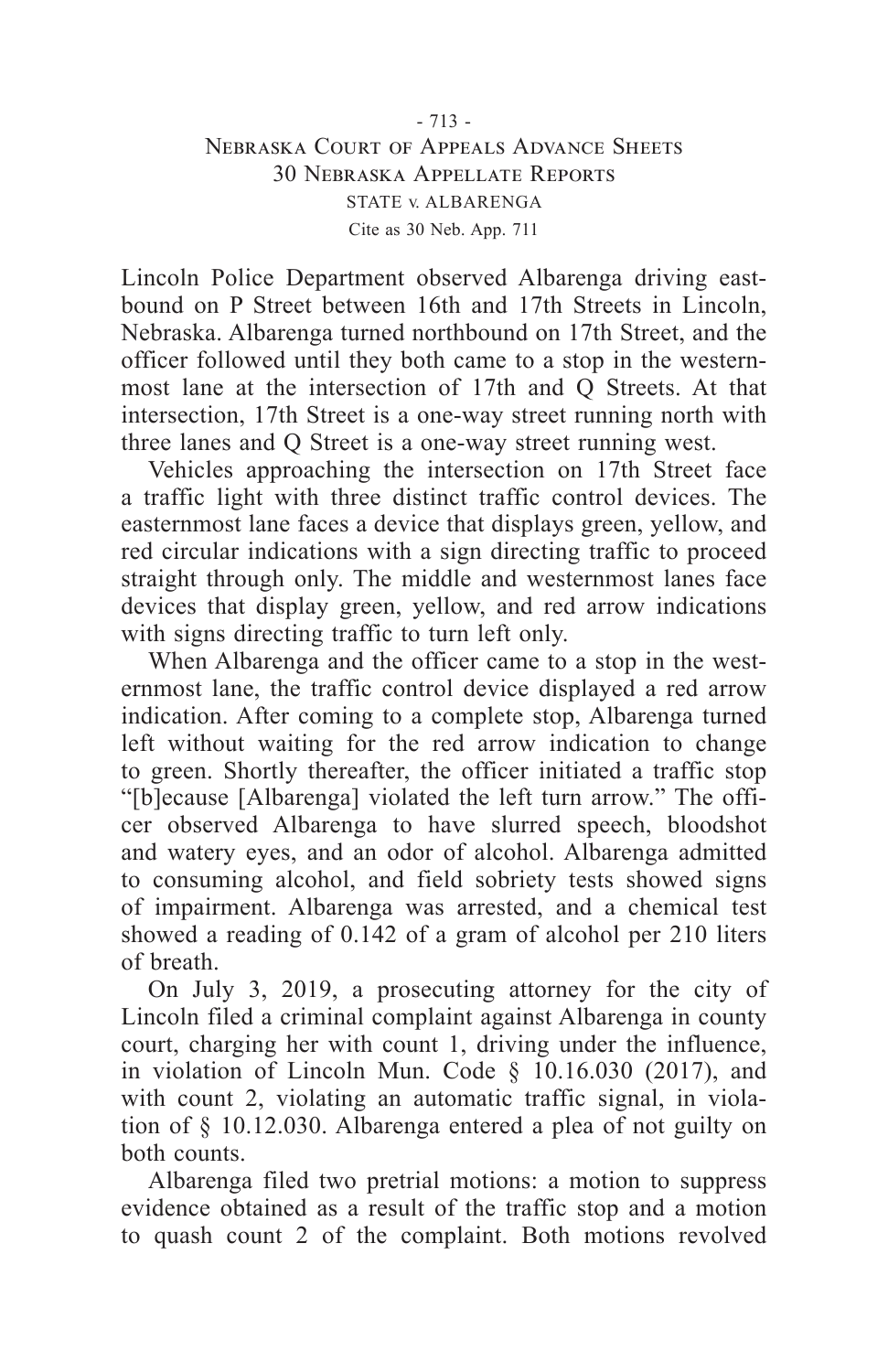Lincoln Police Department observed Albarenga driving eastbound on P Street between 16th and 17th Streets in Lincoln, Nebraska. Albarenga turned northbound on 17th Street, and the officer followed until they both came to a stop in the westernmost lane at the intersection of 17th and Q Streets. At that intersection, 17th Street is a one-way street running north with three lanes and Q Street is a one-way street running west.

Vehicles approaching the intersection on 17th Street face a traffic light with three distinct traffic control devices. The easternmost lane faces a device that displays green, yellow, and red circular indications with a sign directing traffic to proceed straight through only. The middle and westernmost lanes face devices that display green, yellow, and red arrow indications with signs directing traffic to turn left only.

When Albarenga and the officer came to a stop in the westernmost lane, the traffic control device displayed a red arrow indication. After coming to a complete stop, Albarenga turned left without waiting for the red arrow indication to change to green. Shortly thereafter, the officer initiated a traffic stop "[b]ecause [Albarenga] violated the left turn arrow." The officer observed Albarenga to have slurred speech, bloodshot and watery eyes, and an odor of alcohol. Albarenga admitted to consuming alcohol, and field sobriety tests showed signs of impairment. Albarenga was arrested, and a chemical test showed a reading of 0.142 of a gram of alcohol per 210 liters of breath.

On July 3, 2019, a prosecuting attorney for the city of Lincoln filed a criminal complaint against Albarenga in county court, charging her with count 1, driving under the influence, in violation of Lincoln Mun. Code § 10.16.030 (2017), and with count 2, violating an automatic traffic signal, in violation of § 10.12.030. Albarenga entered a plea of not guilty on both counts.

Albarenga filed two pretrial motions: a motion to suppress evidence obtained as a result of the traffic stop and a motion to quash count 2 of the complaint. Both motions revolved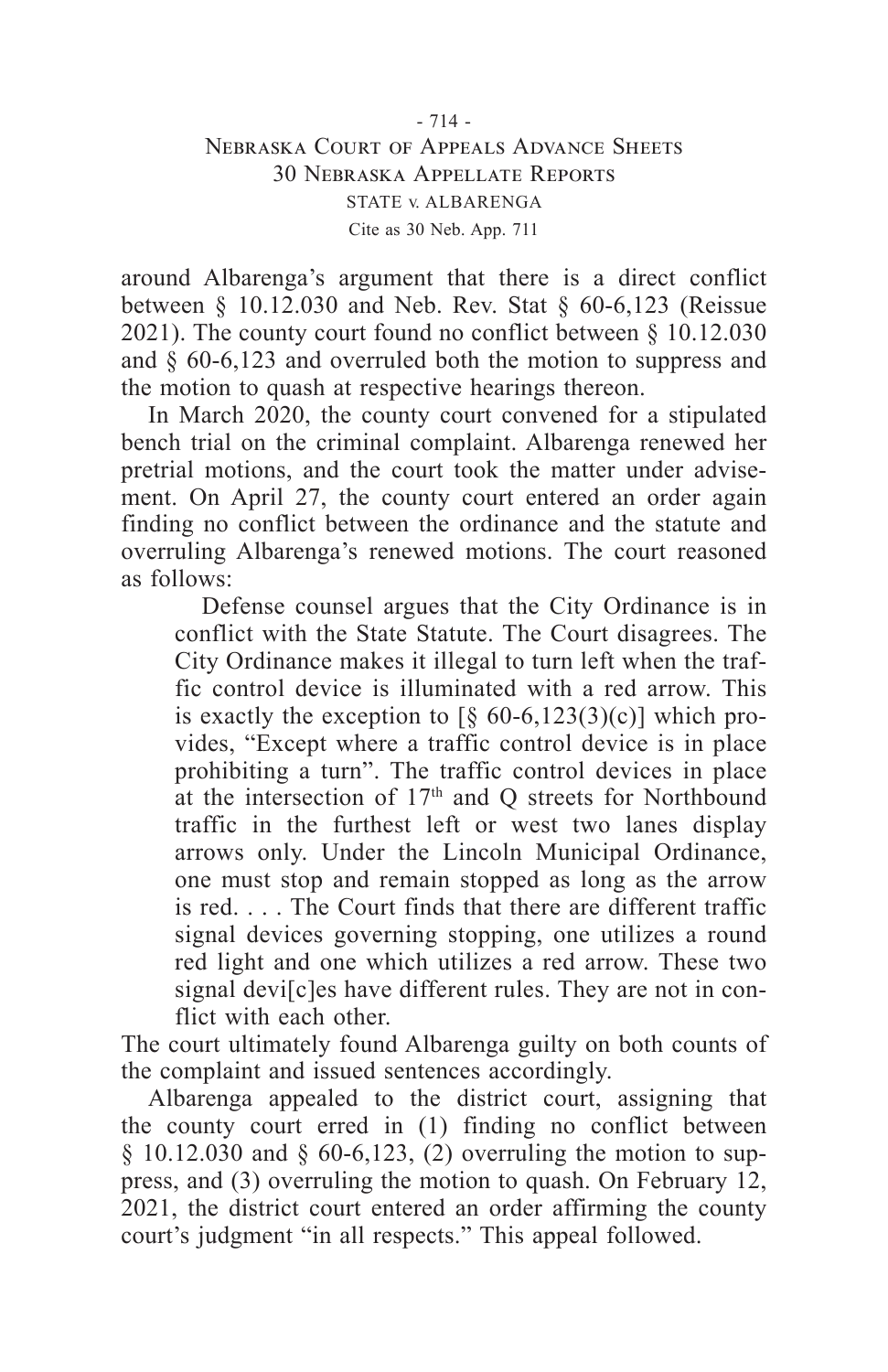around Albarenga's argument that there is a direct conflict between § 10.12.030 and Neb. Rev. Stat § 60-6,123 (Reissue 2021). The county court found no conflict between § 10.12.030 and § 60-6,123 and overruled both the motion to suppress and the motion to quash at respective hearings thereon.

In March 2020, the county court convened for a stipulated bench trial on the criminal complaint. Albarenga renewed her pretrial motions, and the court took the matter under advisement. On April 27, the county court entered an order again finding no conflict between the ordinance and the statute and overruling Albarenga's renewed motions. The court reasoned as follows:

Defense counsel argues that the City Ordinance is in conflict with the State Statute. The Court disagrees. The City Ordinance makes it illegal to turn left when the traffic control device is illuminated with a red arrow. This is exactly the exception to  $\lbrack 8, 60-6, 123(3)(c) \rbrack$  which provides, "Except where a traffic control device is in place prohibiting a turn". The traffic control devices in place at the intersection of 17th and Q streets for Northbound traffic in the furthest left or west two lanes display arrows only. Under the Lincoln Municipal Ordinance, one must stop and remain stopped as long as the arrow is red. . . . The Court finds that there are different traffic signal devices governing stopping, one utilizes a round red light and one which utilizes a red arrow. These two signal devi[c]es have different rules. They are not in conflict with each other.

The court ultimately found Albarenga guilty on both counts of the complaint and issued sentences accordingly.

Albarenga appealed to the district court, assigning that the county court erred in (1) finding no conflict between § 10.12.030 and § 60-6,123, (2) overruling the motion to suppress, and (3) overruling the motion to quash. On February 12, 2021, the district court entered an order affirming the county court's judgment "in all respects." This appeal followed.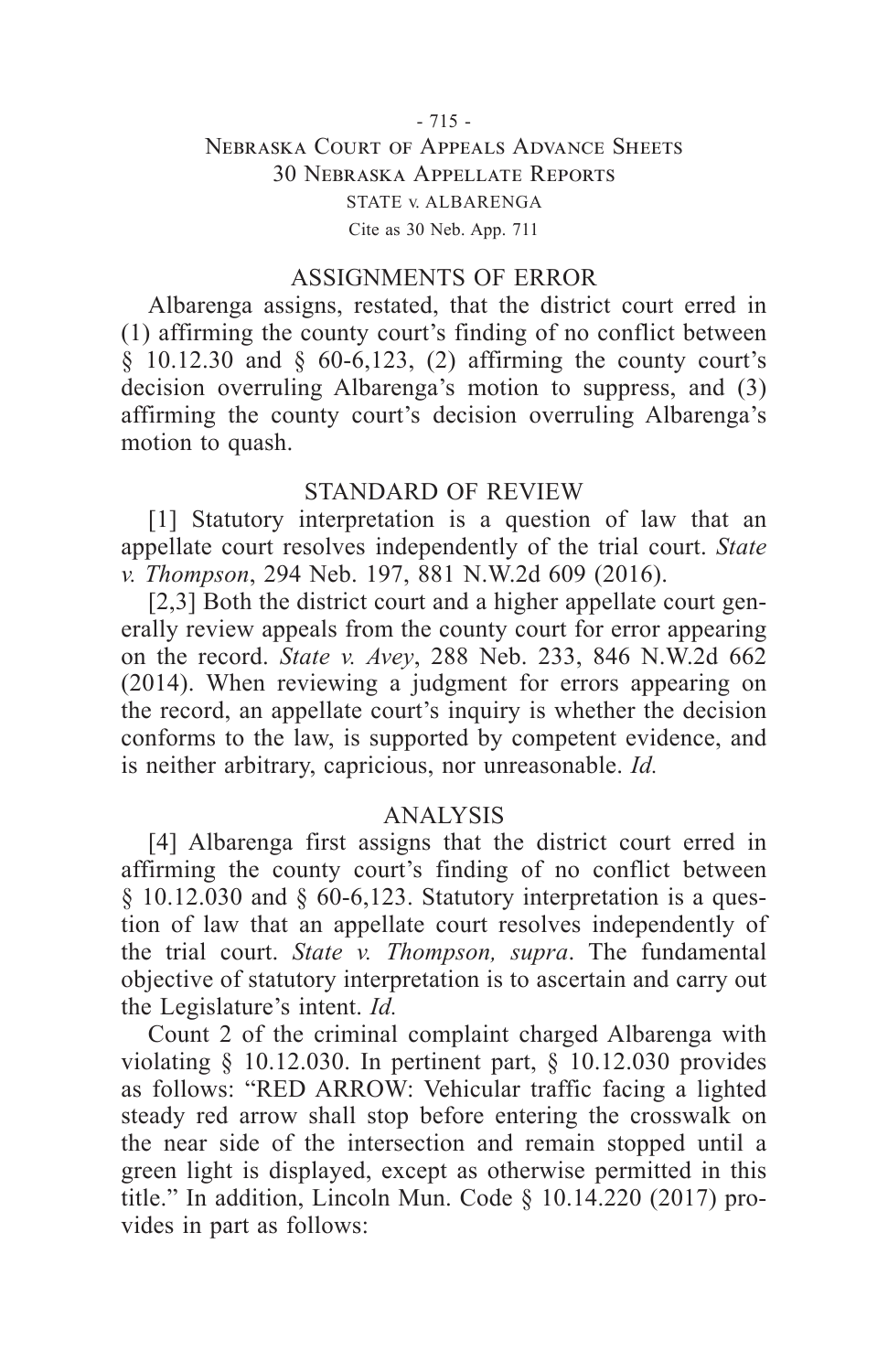#### ASSIGNMENTS OF ERROR

Albarenga assigns, restated, that the district court erred in (1) affirming the county court's finding of no conflict between § 10.12.30 and § 60-6,123, (2) affirming the county court's decision overruling Albarenga's motion to suppress, and (3) affirming the county court's decision overruling Albarenga's motion to quash.

#### STANDARD OF REVIEW

[1] Statutory interpretation is a question of law that an appellate court resolves independently of the trial court. *State v. Thompson*, 294 Neb. 197, 881 N.W.2d 609 (2016).

[2,3] Both the district court and a higher appellate court generally review appeals from the county court for error appearing on the record. *State v. Avey*, 288 Neb. 233, 846 N.W.2d 662 (2014). When reviewing a judgment for errors appearing on the record, an appellate court's inquiry is whether the decision conforms to the law, is supported by competent evidence, and is neither arbitrary, capricious, nor unreasonable. *Id.*

#### ANALYSIS

[4] Albarenga first assigns that the district court erred in affirming the county court's finding of no conflict between § 10.12.030 and § 60-6,123. Statutory interpretation is a question of law that an appellate court resolves independently of the trial court. *State v. Thompson, supra*. The fundamental objective of statutory interpretation is to ascertain and carry out the Legislature's intent. *Id.*

Count 2 of the criminal complaint charged Albarenga with violating § 10.12.030. In pertinent part, § 10.12.030 provides as follows: "RED ARROW: Vehicular traffic facing a lighted steady red arrow shall stop before entering the crosswalk on the near side of the intersection and remain stopped until a green light is displayed, except as otherwise permitted in this title." In addition, Lincoln Mun. Code § 10.14.220 (2017) provides in part as follows: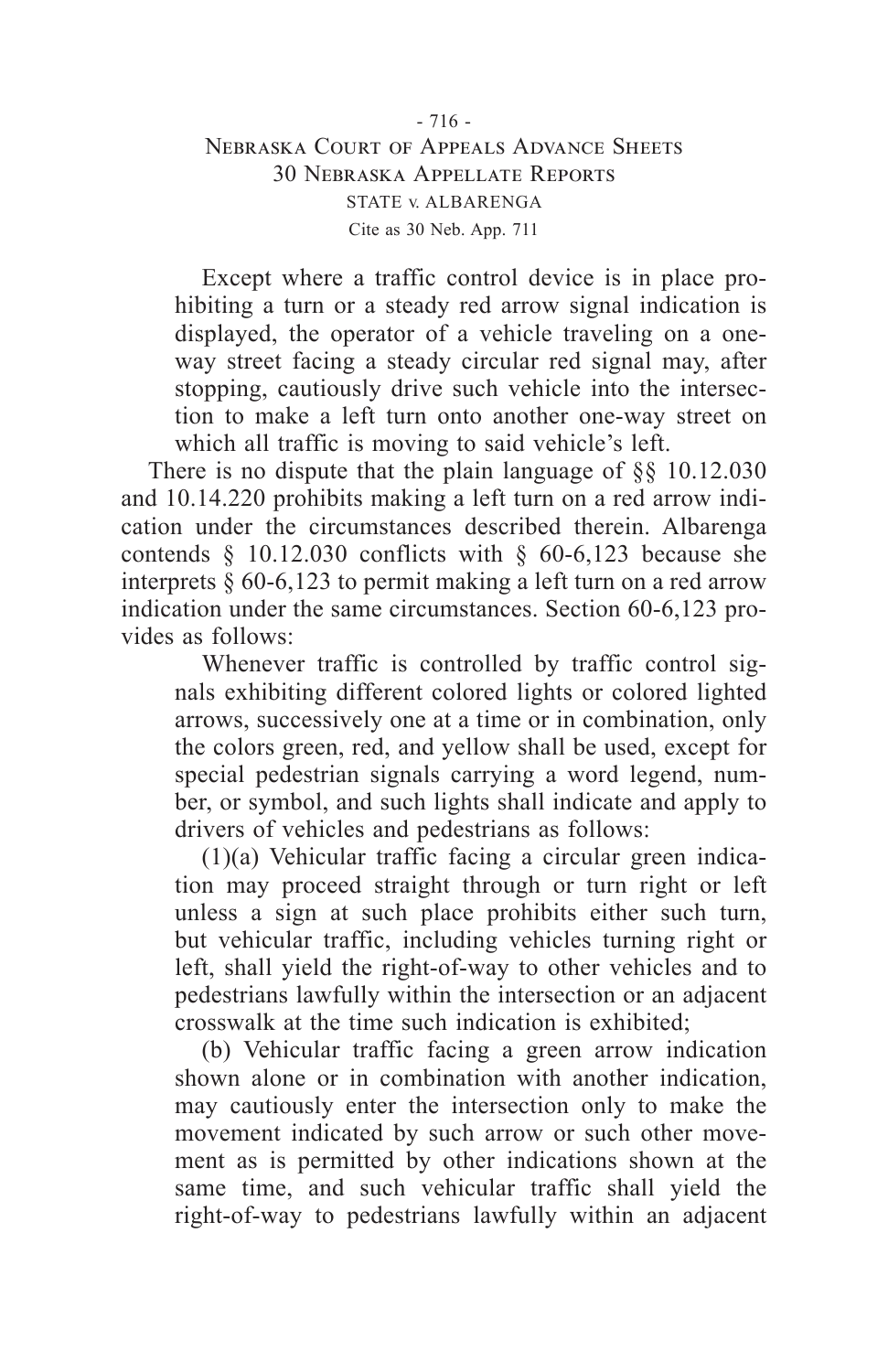Except where a traffic control device is in place prohibiting a turn or a steady red arrow signal indication is displayed, the operator of a vehicle traveling on a oneway street facing a steady circular red signal may, after stopping, cautiously drive such vehicle into the intersection to make a left turn onto another one-way street on which all traffic is moving to said vehicle's left.

There is no dispute that the plain language of §§ 10.12.030 and 10.14.220 prohibits making a left turn on a red arrow indication under the circumstances described therein. Albarenga contends § 10.12.030 conflicts with § 60-6,123 because she interprets § 60-6,123 to permit making a left turn on a red arrow indication under the same circumstances. Section 60-6,123 provides as follows:

Whenever traffic is controlled by traffic control signals exhibiting different colored lights or colored lighted arrows, successively one at a time or in combination, only the colors green, red, and yellow shall be used, except for special pedestrian signals carrying a word legend, number, or symbol, and such lights shall indicate and apply to drivers of vehicles and pedestrians as follows:

(1)(a) Vehicular traffic facing a circular green indication may proceed straight through or turn right or left unless a sign at such place prohibits either such turn, but vehicular traffic, including vehicles turning right or left, shall yield the right-of-way to other vehicles and to pedestrians lawfully within the intersection or an adjacent crosswalk at the time such indication is exhibited;

(b) Vehicular traffic facing a green arrow indication shown alone or in combination with another indication, may cautiously enter the intersection only to make the movement indicated by such arrow or such other movement as is permitted by other indications shown at the same time, and such vehicular traffic shall yield the right-of-way to pedestrians lawfully within an adjacent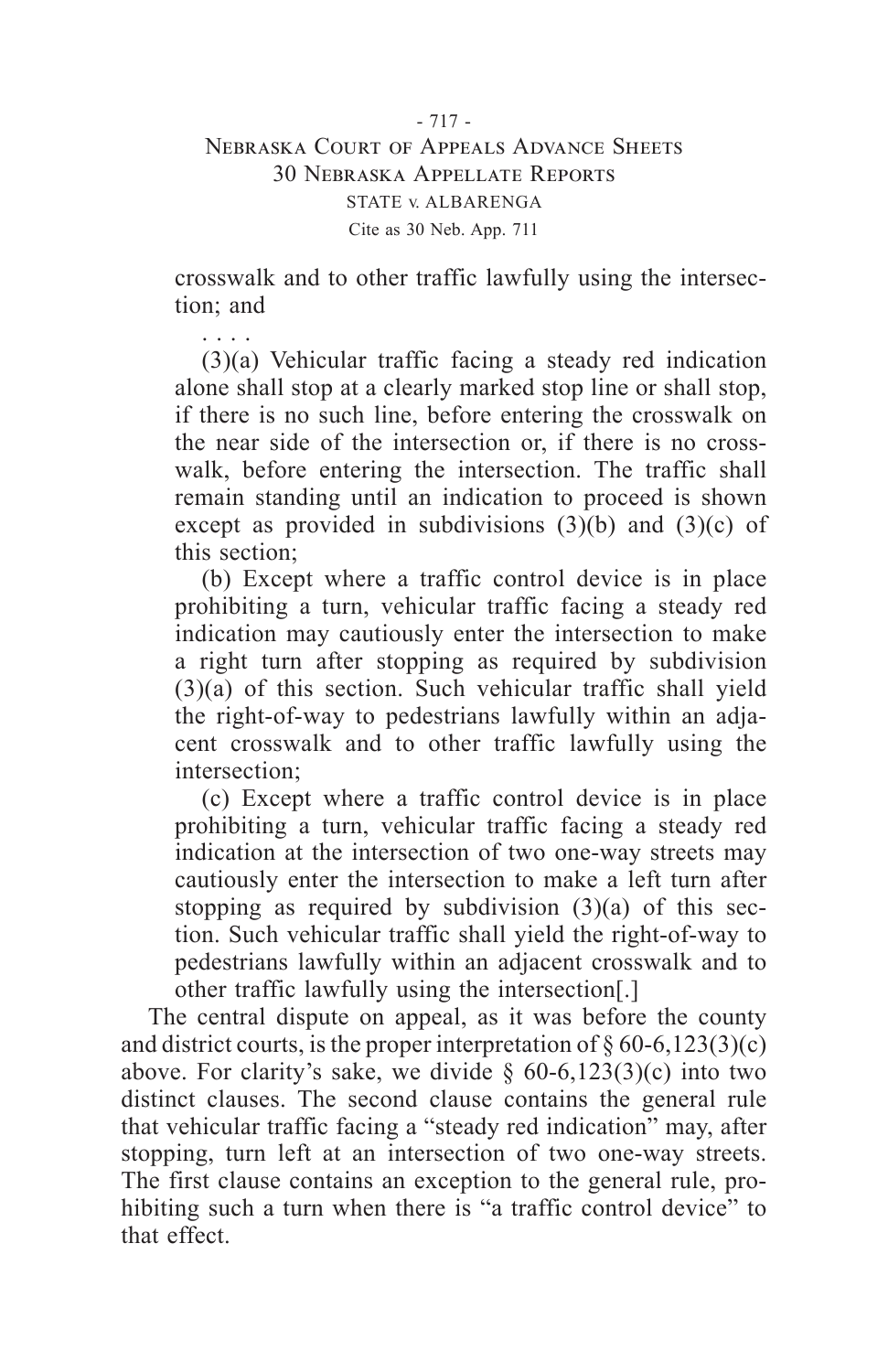. . . .

crosswalk and to other traffic lawfully using the intersection; and

(3)(a) Vehicular traffic facing a steady red indication alone shall stop at a clearly marked stop line or shall stop, if there is no such line, before entering the crosswalk on the near side of the intersection or, if there is no crosswalk, before entering the intersection. The traffic shall remain standing until an indication to proceed is shown except as provided in subdivisions  $(3)(b)$  and  $(3)(c)$  of this section;

(b) Except where a traffic control device is in place prohibiting a turn, vehicular traffic facing a steady red indication may cautiously enter the intersection to make a right turn after stopping as required by subdivision (3)(a) of this section. Such vehicular traffic shall yield the right-of-way to pedestrians lawfully within an adjacent crosswalk and to other traffic lawfully using the intersection;

(c) Except where a traffic control device is in place prohibiting a turn, vehicular traffic facing a steady red indication at the intersection of two one-way streets may cautiously enter the intersection to make a left turn after stopping as required by subdivision  $(3)(a)$  of this section. Such vehicular traffic shall yield the right-of-way to pedestrians lawfully within an adjacent crosswalk and to other traffic lawfully using the intersection[.]

The central dispute on appeal, as it was before the county and district courts, is the proper interpretation of  $\S 60-6,123(3)(c)$ above. For clarity's sake, we divide  $\S$  60-6,123(3)(c) into two distinct clauses. The second clause contains the general rule that vehicular traffic facing a "steady red indication" may, after stopping, turn left at an intersection of two one-way streets. The first clause contains an exception to the general rule, prohibiting such a turn when there is "a traffic control device" to that effect.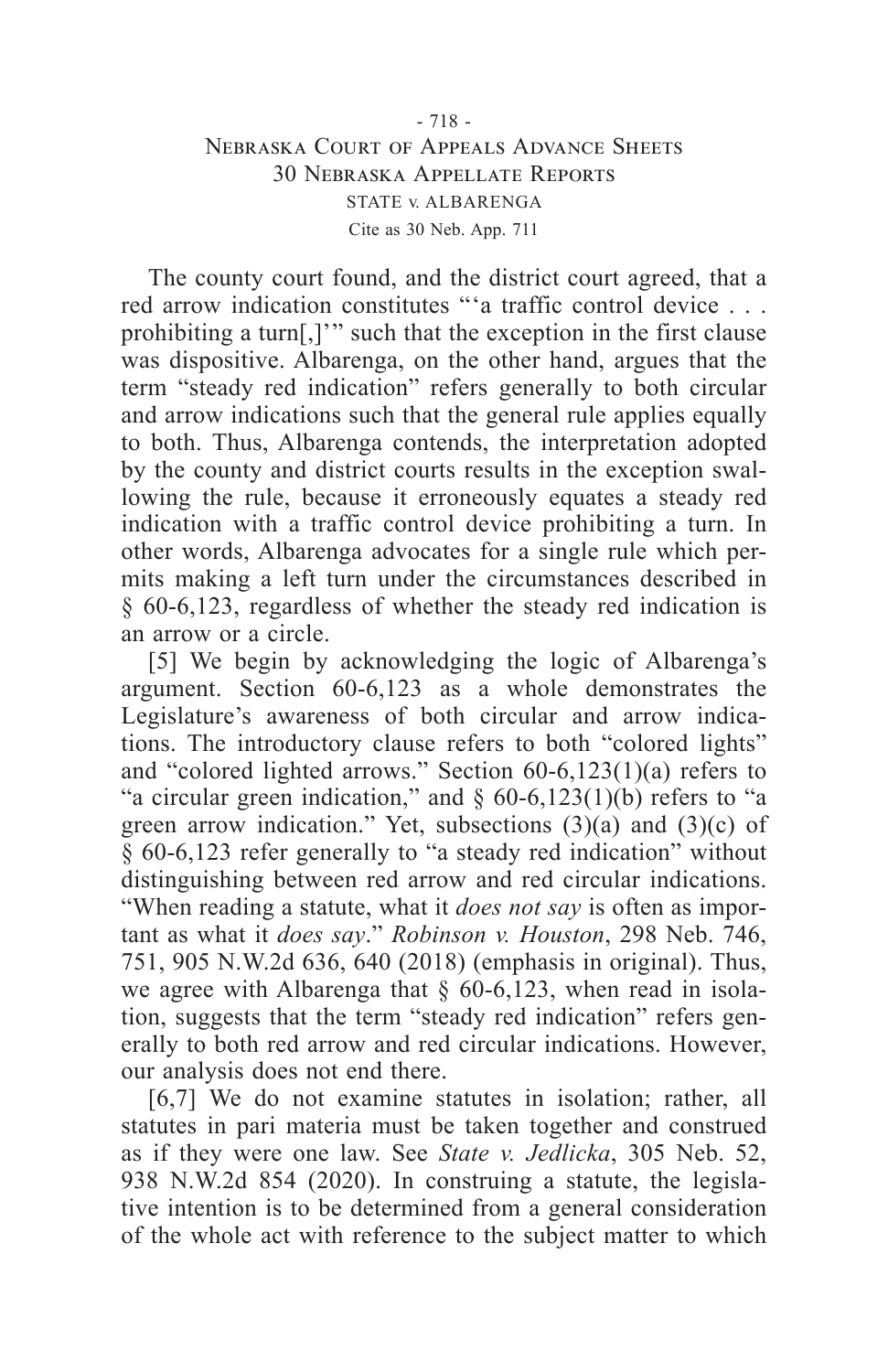The county court found, and the district court agreed, that a red arrow indication constitutes "'a traffic control device . . . prohibiting a turn[,]'" such that the exception in the first clause was dispositive. Albarenga, on the other hand, argues that the term "steady red indication" refers generally to both circular and arrow indications such that the general rule applies equally to both. Thus, Albarenga contends, the interpretation adopted by the county and district courts results in the exception swallowing the rule, because it erroneously equates a steady red indication with a traffic control device prohibiting a turn. In other words, Albarenga advocates for a single rule which permits making a left turn under the circumstances described in § 60-6,123, regardless of whether the steady red indication is an arrow or a circle.

[5] We begin by acknowledging the logic of Albarenga's argument. Section 60-6,123 as a whole demonstrates the Legislature's awareness of both circular and arrow indications. The introductory clause refers to both "colored lights" and "colored lighted arrows." Section 60-6,123(1)(a) refers to "a circular green indication," and  $\S$  60-6,123(1)(b) refers to "a green arrow indication." Yet, subsections  $(3)(a)$  and  $(3)(c)$  of § 60-6,123 refer generally to "a steady red indication" without distinguishing between red arrow and red circular indications. "When reading a statute, what it *does not say* is often as important as what it *does say*." *Robinson v. Houston*, 298 Neb. 746, 751, 905 N.W.2d 636, 640 (2018) (emphasis in original). Thus, we agree with Albarenga that  $\S$  60-6,123, when read in isolation, suggests that the term "steady red indication" refers generally to both red arrow and red circular indications. However, our analysis does not end there.

[6,7] We do not examine statutes in isolation; rather, all statutes in pari materia must be taken together and construed as if they were one law. See *State v. Jedlicka*, 305 Neb. 52, 938 N.W.2d 854 (2020). In construing a statute, the legislative intention is to be determined from a general consideration of the whole act with reference to the subject matter to which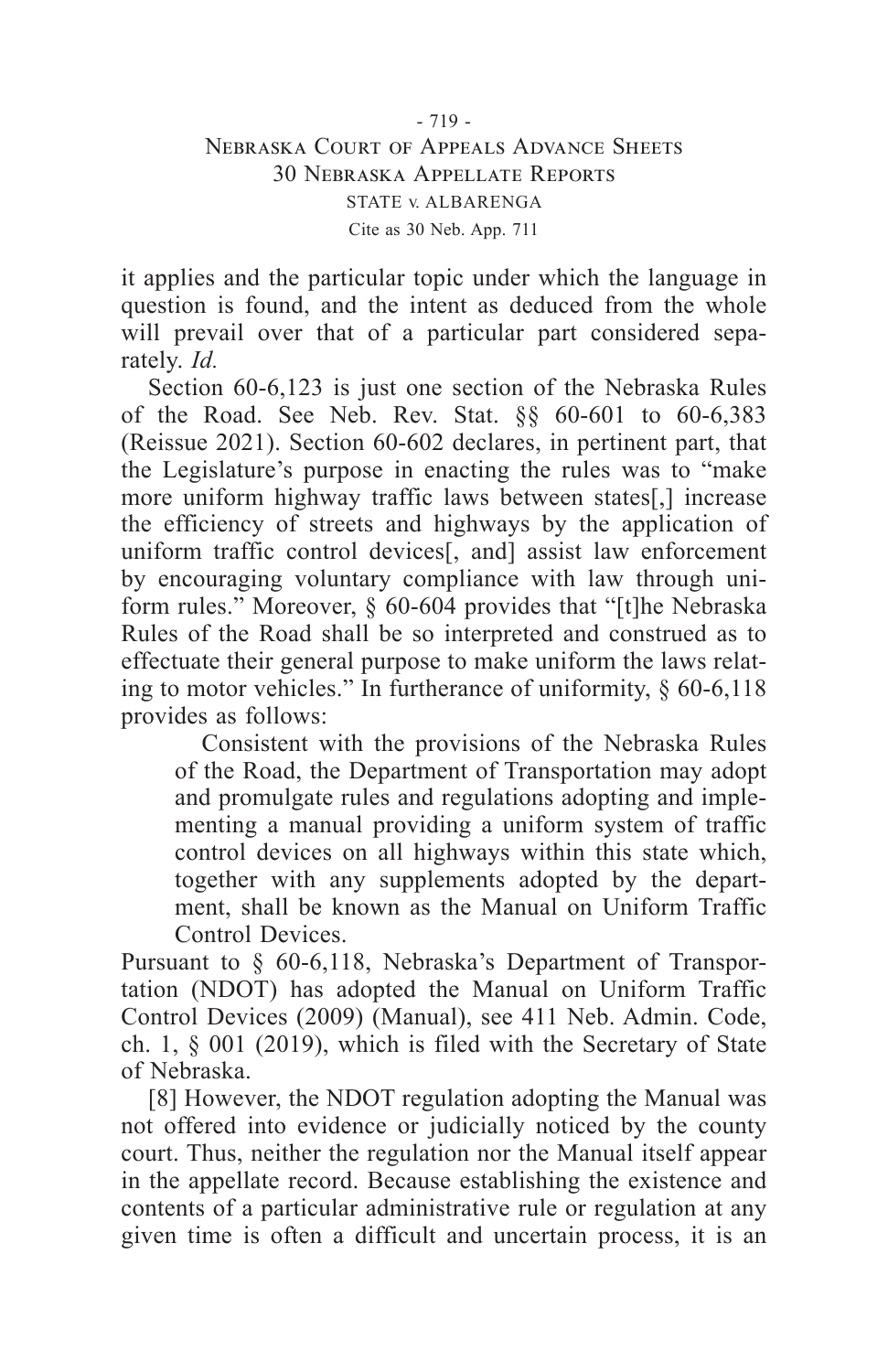it applies and the particular topic under which the language in question is found, and the intent as deduced from the whole will prevail over that of a particular part considered separately. *Id.*

Section 60-6,123 is just one section of the Nebraska Rules of the Road. See Neb. Rev. Stat. §§ 60-601 to 60-6,383 (Reissue 2021). Section 60-602 declares, in pertinent part, that the Legislature's purpose in enacting the rules was to "make more uniform highway traffic laws between states[,] increase the efficiency of streets and highways by the application of uniform traffic control devices<sup>[11]</sup>, and] assist law enforcement by encouraging voluntary compliance with law through uniform rules." Moreover, § 60-604 provides that "[t]he Nebraska Rules of the Road shall be so interpreted and construed as to effectuate their general purpose to make uniform the laws relating to motor vehicles." In furtherance of uniformity, § 60-6,118 provides as follows:

Consistent with the provisions of the Nebraska Rules of the Road, the Department of Transportation may adopt and promulgate rules and regulations adopting and implementing a manual providing a uniform system of traffic control devices on all highways within this state which, together with any supplements adopted by the department, shall be known as the Manual on Uniform Traffic Control Devices.

Pursuant to § 60-6,118, Nebraska's Department of Transportation (NDOT) has adopted the Manual on Uniform Traffic Control Devices (2009) (Manual), see 411 Neb. Admin. Code, ch. 1, § 001 (2019), which is filed with the Secretary of State of Nebraska.

[8] However, the NDOT regulation adopting the Manual was not offered into evidence or judicially noticed by the county court. Thus, neither the regulation nor the Manual itself appear in the appellate record. Because establishing the existence and contents of a particular administrative rule or regulation at any given time is often a difficult and uncertain process, it is an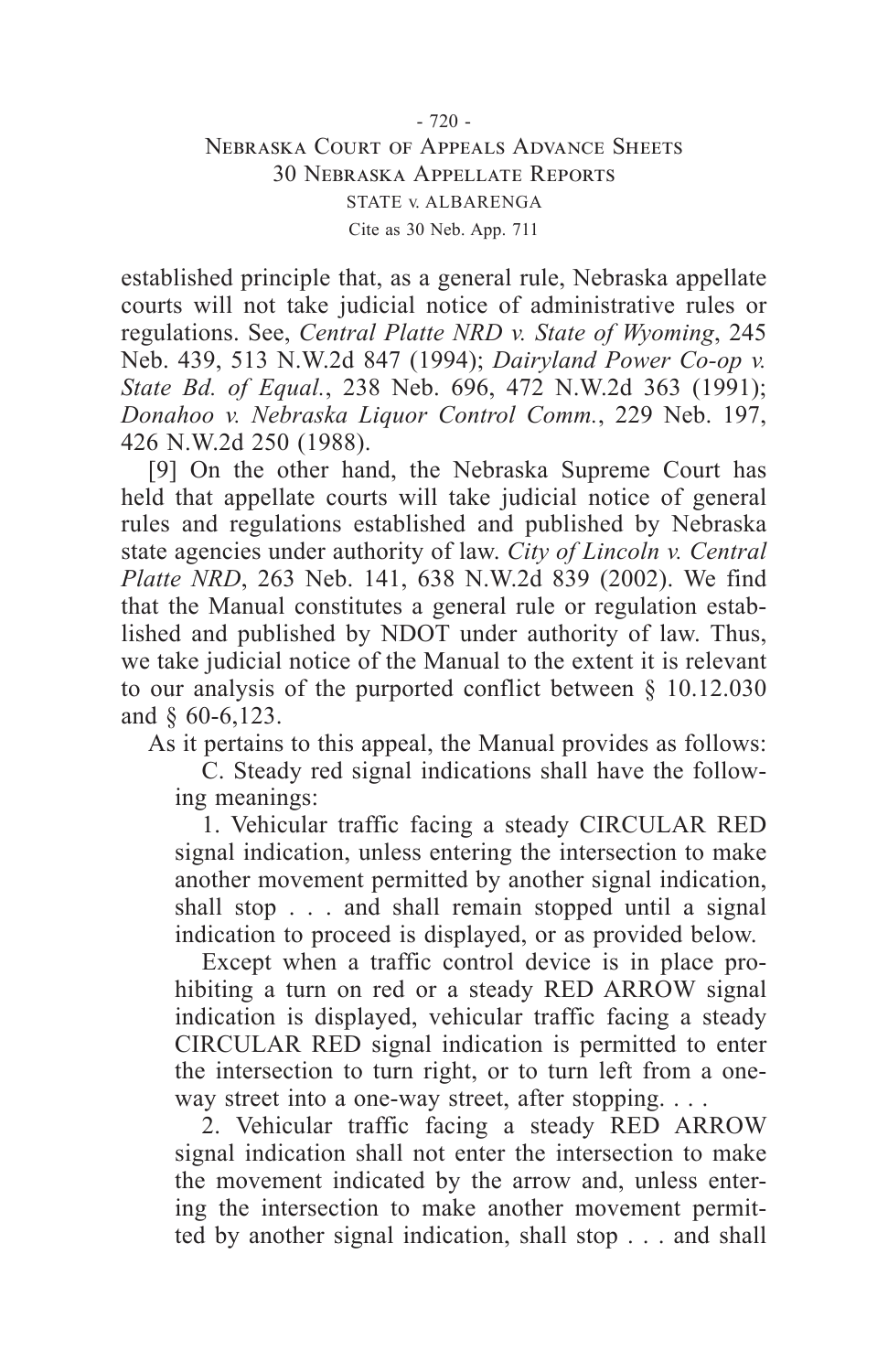established principle that, as a general rule, Nebraska appellate courts will not take judicial notice of administrative rules or regulations. See, *Central Platte NRD v. State of Wyoming*, 245 Neb. 439, 513 N.W.2d 847 (1994); *Dairyland Power Co-op v. State Bd. of Equal.*, 238 Neb. 696, 472 N.W.2d 363 (1991); *Donahoo v. Nebraska Liquor Control Comm.*, 229 Neb. 197, 426 N.W.2d 250 (1988).

[9] On the other hand, the Nebraska Supreme Court has held that appellate courts will take judicial notice of general rules and regulations established and published by Nebraska state agencies under authority of law. *City of Lincoln v. Central Platte NRD*, 263 Neb. 141, 638 N.W.2d 839 (2002). We find that the Manual constitutes a general rule or regulation established and published by NDOT under authority of law. Thus, we take judicial notice of the Manual to the extent it is relevant to our analysis of the purported conflict between § 10.12.030 and § 60-6,123.

As it pertains to this appeal, the Manual provides as follows:

C. Steady red signal indications shall have the following meanings:

1. Vehicular traffic facing a steady CIRCULAR RED signal indication, unless entering the intersection to make another movement permitted by another signal indication, shall stop . . . and shall remain stopped until a signal indication to proceed is displayed, or as provided below.

Except when a traffic control device is in place prohibiting a turn on red or a steady RED ARROW signal indication is displayed, vehicular traffic facing a steady CIRCULAR RED signal indication is permitted to enter the intersection to turn right, or to turn left from a oneway street into a one-way street, after stopping. . . .

2. Vehicular traffic facing a steady RED ARROW signal indication shall not enter the intersection to make the movement indicated by the arrow and, unless entering the intersection to make another movement permitted by another signal indication, shall stop . . . and shall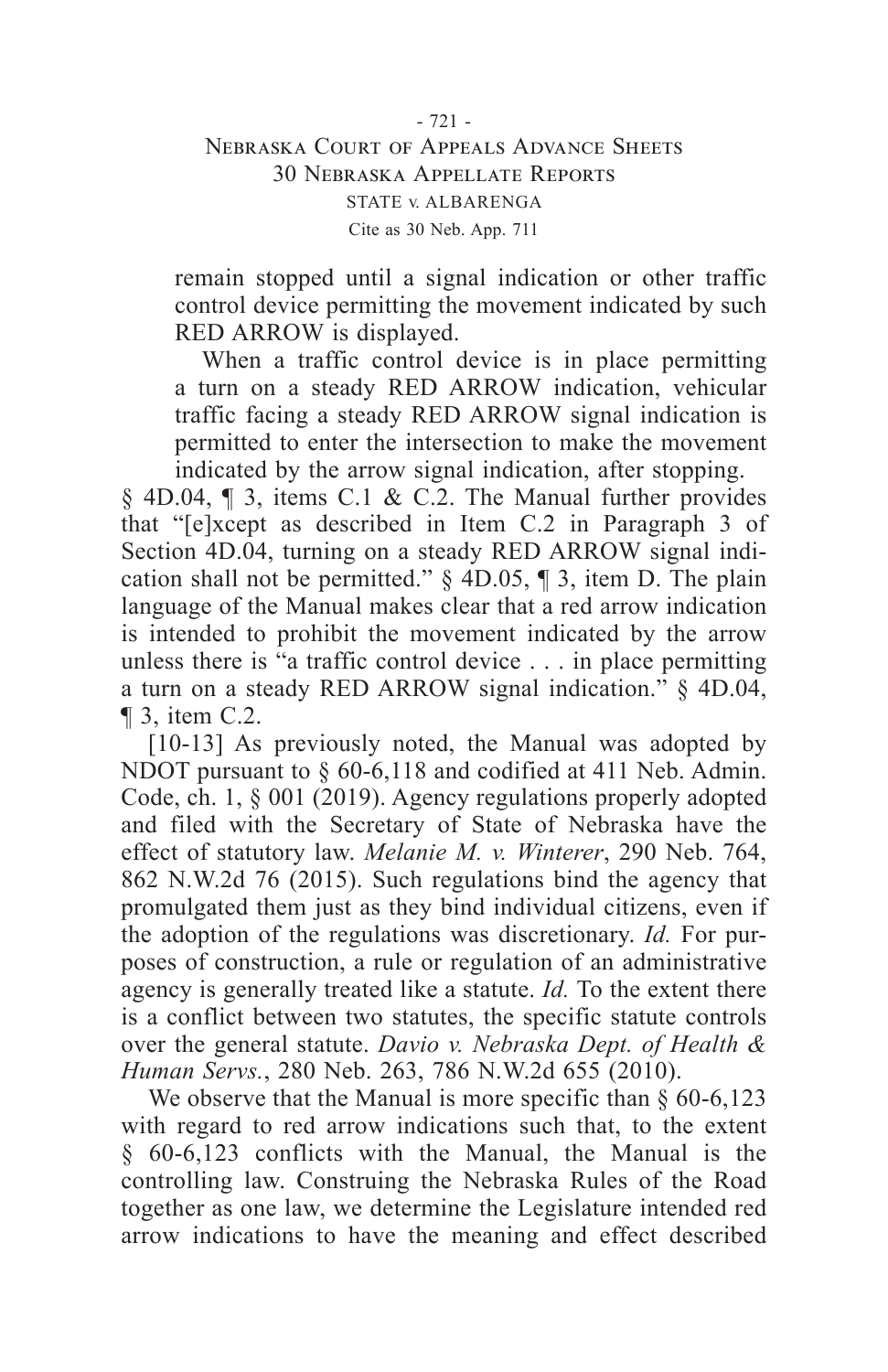remain stopped until a signal indication or other traffic control device permitting the movement indicated by such RED ARROW is displayed.

When a traffic control device is in place permitting a turn on a steady RED ARROW indication, vehicular traffic facing a steady RED ARROW signal indication is permitted to enter the intersection to make the movement indicated by the arrow signal indication, after stopping.

§ 4D.04, ¶ 3, items C.1 & C.2. The Manual further provides that "[e]xcept as described in Item C.2 in Paragraph 3 of Section 4D.04, turning on a steady RED ARROW signal indication shall not be permitted."  $\S$  4D.05,  $\P$  3, item D. The plain language of the Manual makes clear that a red arrow indication is intended to prohibit the movement indicated by the arrow unless there is "a traffic control device . . . in place permitting a turn on a steady RED ARROW signal indication." § 4D.04, ¶ 3, item C.2.

[10-13] As previously noted, the Manual was adopted by NDOT pursuant to  $\S$  60-6,118 and codified at 411 Neb. Admin. Code, ch. 1, § 001 (2019). Agency regulations properly adopted and filed with the Secretary of State of Nebraska have the effect of statutory law. *Melanie M. v. Winterer*, 290 Neb. 764, 862 N.W.2d 76 (2015). Such regulations bind the agency that promulgated them just as they bind individual citizens, even if the adoption of the regulations was discretionary. *Id.* For purposes of construction, a rule or regulation of an administrative agency is generally treated like a statute. *Id.* To the extent there is a conflict between two statutes, the specific statute controls over the general statute. *Davio v. Nebraska Dept. of Health & Human Servs.*, 280 Neb. 263, 786 N.W.2d 655 (2010).

We observe that the Manual is more specific than  $\S$  60-6,123 with regard to red arrow indications such that, to the extent § 60-6,123 conflicts with the Manual, the Manual is the controlling law. Construing the Nebraska Rules of the Road together as one law, we determine the Legislature intended red arrow indications to have the meaning and effect described